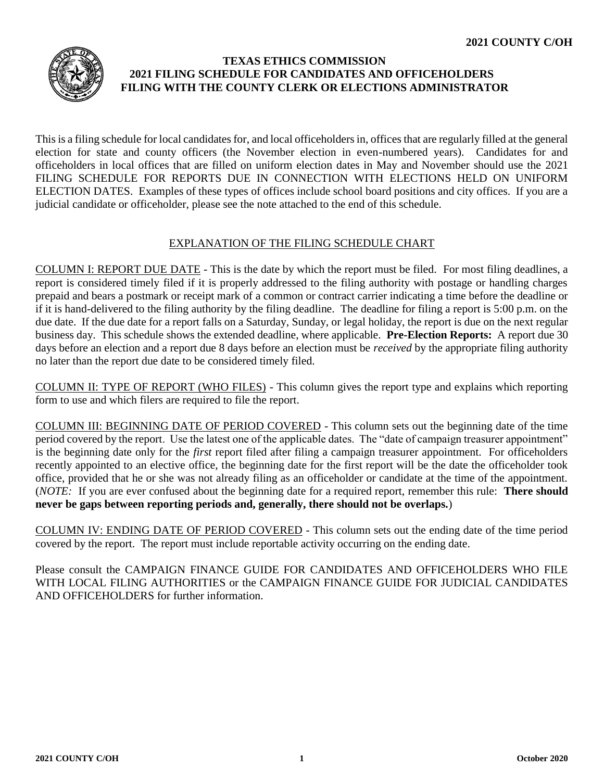

## **TEXAS ETHICS COMMISSION 2021 FILING SCHEDULE FOR CANDIDATES AND OFFICEHOLDERS FILING WITH THE COUNTY CLERK OR ELECTIONS ADMINISTRATOR**

This is a filing schedule for local candidates for, and local officeholders in, offices that are regularly filled at the general election for state and county officers (the November election in even-numbered years). Candidates for and officeholders in local offices that are filled on uniform election dates in May and November should use the [2021](https://www.ethics.state.tx.us/data/filinginfo/schedules/s21uniform.pdf) [FILING SCHEDULE FOR REPORTS DUE IN CONNECTION WITH ELECTIONS HELD ON UNIFORM](https://www.ethics.state.tx.us/data/filinginfo/schedules/s21uniform.pdf)  [ELECTION DATES.](https://www.ethics.state.tx.us/data/filinginfo/schedules/s21uniform.pdf) Examples of these types of offices include school board positions and city offices. If you are a judicial candidate or officeholder, please see the note attached to the end of this schedule.

## EXPLANATION OF THE FILING SCHEDULE CHART

COLUMN I: REPORT DUE DATE - This is the date by which the report must be filed. For most filing deadlines, a report is considered timely filed if it is properly addressed to the filing authority with postage or handling charges prepaid and bears a postmark or receipt mark of a common or contract carrier indicating a time before the deadline or if it is hand-delivered to the filing authority by the filing deadline. The deadline for filing a report is 5:00 p.m. on the due date. If the due date for a report falls on a Saturday, Sunday, or legal holiday, the report is due on the next regular business day. This schedule shows the extended deadline, where applicable. **Pre-Election Reports:** A report due 30 days before an election and a report due 8 days before an election must be *received* by the appropriate filing authority no later than the report due date to be considered timely filed.

COLUMN II: TYPE OF REPORT (WHO FILES) - This column gives the report type and explains which reporting form to use and which filers are required to file the report.

COLUMN III: BEGINNING DATE OF PERIOD COVERED - This column sets out the beginning date of the time period covered by the report. Use the latest one of the applicable dates. The "date of campaign treasurer appointment" is the beginning date only for the *first* report filed after filing a campaign treasurer appointment. For officeholders recently appointed to an elective office, the beginning date for the first report will be the date the officeholder took office, provided that he or she was not already filing as an officeholder or candidate at the time of the appointment. (*NOTE:* If you are ever confused about the beginning date for a required report, remember this rule: **There should never be gaps between reporting periods and, generally, there should not be overlaps.**)

COLUMN IV: ENDING DATE OF PERIOD COVERED - This column sets out the ending date of the time period covered by the report. The report must include reportable activity occurring on the ending date.

Please consult the [CAMPAIGN FINANCE GUIDE FOR CANDIDATES AND OFFICEHOLDERS WHO FILE](https://www.ethics.state.tx.us/guides/coh_local_guide.pdf)  [WITH LOCAL FILING AUTHORITIES](https://www.ethics.state.tx.us/guides/coh_local_guide.pdf) or the [CAMPAIGN FINANCE GUIDE FOR JUDICIAL CANDIDATES](https://www.ethics.state.tx.us/guides/jcoh_guide.pdf)  [AND OFFICEHOLDERS](https://www.ethics.state.tx.us/guides/jcoh_guide.pdf) for further information.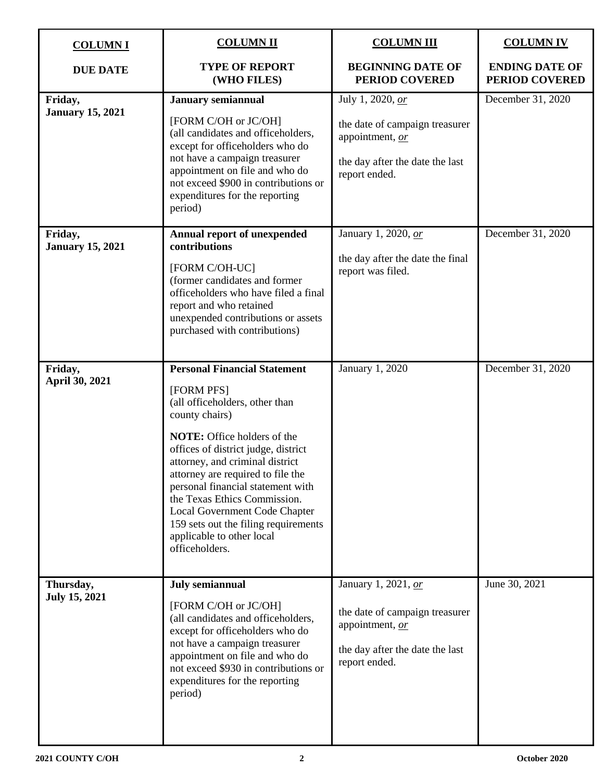| <b>COLUMNI</b>                     | <b>COLUMN II</b>                                                                                                                                                                                                                                                                                                                                                                                                                                        | <b>COLUMN III</b>                                                                                                            | <b>COLUMN IV</b>                        |
|------------------------------------|---------------------------------------------------------------------------------------------------------------------------------------------------------------------------------------------------------------------------------------------------------------------------------------------------------------------------------------------------------------------------------------------------------------------------------------------------------|------------------------------------------------------------------------------------------------------------------------------|-----------------------------------------|
| <b>DUE DATE</b>                    | <b>TYPE OF REPORT</b><br>(WHO FILES)                                                                                                                                                                                                                                                                                                                                                                                                                    | <b>BEGINNING DATE OF</b><br><b>PERIOD COVERED</b>                                                                            | <b>ENDING DATE OF</b><br>PERIOD COVERED |
| Friday,<br><b>January 15, 2021</b> | <b>January semiannual</b><br>[FORM C/OH or JC/OH]<br>(all candidates and officeholders,<br>except for officeholders who do<br>not have a campaign treasurer<br>appointment on file and who do<br>not exceed \$900 in contributions or<br>expenditures for the reporting<br>period)                                                                                                                                                                      | July 1, 2020, or<br>the date of campaign treasurer<br>appointment, or<br>the day after the date the last<br>report ended.    | December 31, 2020                       |
| Friday,<br><b>January 15, 2021</b> | <b>Annual report of unexpended</b><br>contributions<br>[FORM C/OH-UC]<br>(former candidates and former<br>officeholders who have filed a final<br>report and who retained<br>unexpended contributions or assets<br>purchased with contributions)                                                                                                                                                                                                        | January 1, 2020, or<br>the day after the date the final<br>report was filed.                                                 | December 31, 2020                       |
| Friday,<br>April 30, 2021          | <b>Personal Financial Statement</b><br>[FORM PFS]<br>(all officeholders, other than<br>county chairs)<br><b>NOTE:</b> Office holders of the<br>offices of district judge, district<br>attorney, and criminal district<br>attorney are required to file the<br>personal financial statement with<br>the Texas Ethics Commission.<br>Local Government Code Chapter<br>159 sets out the filing requirements<br>applicable to other local<br>officeholders. | January 1, 2020                                                                                                              | December 31, 2020                       |
| Thursday,<br><b>July 15, 2021</b>  | July semiannual<br>[FORM C/OH or JC/OH]<br>(all candidates and officeholders,<br>except for officeholders who do<br>not have a campaign treasurer<br>appointment on file and who do<br>not exceed \$930 in contributions or<br>expenditures for the reporting<br>period)                                                                                                                                                                                | January 1, 2021, or<br>the date of campaign treasurer<br>appointment, or<br>the day after the date the last<br>report ended. | June 30, 2021                           |